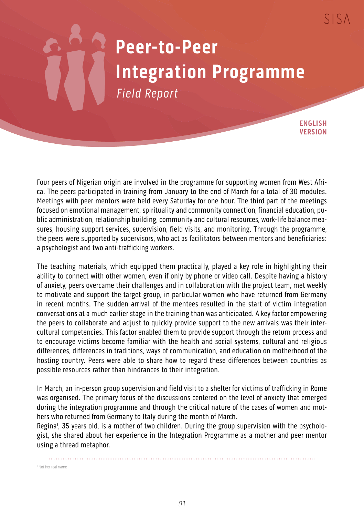## **Peer-to-Peer Integration Programme** Field Report

**ENGLISH VERSION**

Four peers of Nigerian origin are involved in the programme for supporting women from West Africa. The peers participated in training from January to the end of March for a total of 30 modules. Meetings with peer mentors were held every Saturday for one hour. The third part of the meetings focused on emotional management, spirituality and community connection, financial education, public administration, relationship building, community and cultural resources, work-life balance measures, housing support services, supervision, field visits, and monitoring. Through the programme, the peers were supported by supervisors, who act as facilitators between mentors and beneficiaries: a psychologist and two anti-trafficking workers.

The teaching materials, which equipped them practically, played a key role in highlighting their ability to connect with other women, even if only by phone or video call. Despite having a history of anxiety, peers overcame their challenges and in collaboration with the project team, met weekly to motivate and support the target group, in particular women who have returned from Germany in recent months. The sudden arrival of the mentees resulted in the start of victim integration conversations at a much earlier stage in the training than was anticipated. A key factor empowering the peers to collaborate and adjust to quickly provide support to the new arrivals was their intercultural competencies. This factor enabled them to provide support through the return process and to encourage victims become familiar with the health and social systems, cultural and religious differences, differences in traditions, ways of communication, and education on motherhood of the hosting country. Peers were able to share how to regard these differences between countries as possible resources rather than hindrances to their integration.

In March, an in-person group supervision and field visit to a shelter for victims of trafficking in Rome was organised. The primary focus of the discussions centered on the level of anxiety that emerged during the integration programme and through the critical nature of the cases of women and mothers who returned from Germany to Italy during the month of March.

Regina<sup>1</sup>, 35 years old, is a mother of two children. During the group supervision with the psychologist, she shared about her experience in the Integration Programme as a mother and peer mentor using a thread metaphor.

1 Not her real name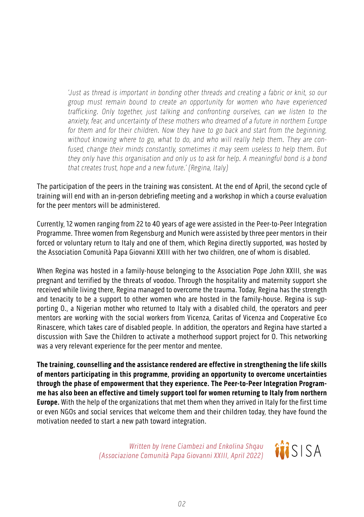'Just as thread is important in bonding other threads and creating a fabric or knit, so our group must remain bound to create an opportunity for women who have experienced trafficking. Only together, just talking and confronting ourselves, can we listen to the anxiety, fear, and uncertainty of these mothers who dreamed of a future in northern Europe for them and for their children. Now they have to go back and start from the beginning, without knowing where to go, what to do, and who will really help them. They are confused, change their minds constantly, sometimes it may seem useless to help them. But they only have this organisation and only us to ask for help. A meaningful bond is a bond that creates trust, hope and a new future.' (Regina, Italy)

The participation of the peers in the training was consistent. At the end of April, the second cycle of training will end with an in-person debriefing meeting and a workshop in which a course evaluation for the peer mentors will be administered.

Currently, 12 women ranging from 22 to 40 years of age were assisted in the Peer-to-Peer Integration Programme. Three women from Regensburg and Munich were assisted by three peer mentors in their forced or voluntary return to Italy and one of them, which Regina directly supported, was hosted by the Association Comunità Papa Giovanni XXIII with her two children, one of whom is disabled.

When Regina was hosted in a family-house belonging to the Association Pope John XXIII, she was pregnant and terrified by the threats of voodoo. Through the hospitality and maternity support she received while living there, Regina managed to overcome the trauma. Today, Regina has the strength and tenacity to be a support to other women who are hosted in the family-house. Regina is supporting O., a Nigerian mother who returned to Italy with a disabled child, the operators and peer mentors are working with the social workers from Vicenza, Caritas of Vicenza and Cooperative Eco Rinascere, which takes care of disabled people. In addition, the operators and Regina have started a discussion with Save the Children to activate a motherhood support project for O. This networking was a very relevant experience for the peer mentor and mentee.

**The training, counselling and the assistance rendered are effective in strengthening the life skills of mentors participating in this programme, providing an opportunity to overcome uncertainties through the phase of empowerment that they experience. The Peer-to-Peer Integration Programme has also been an effective and timely support tool for women returning to Italy from northern Europe.** With the help of the organizations that met them when they arrived in Italy for the first time or even NGOs and social services that welcome them and their children today, they have found the motivation needed to start a new path toward integration.

> Written by Irene Ciambezi and Enkolina Shqau (Associazione Comunità Papa Giovanni XXIII, April 2022)

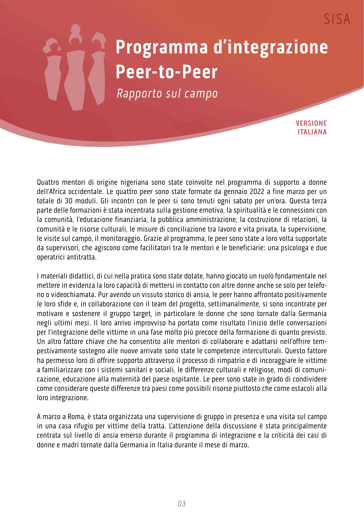## **Programma d'integrazione Peer-to-Peer**

Rapporto sul campo

**VERSIONE ITALIANA**

 $SISA$ 

Quattro mentori di origine nigeriana sono state coinvolte nel programma di supporto a donne dell'Africa occidentale. Le quattro peer sono state formate da gennaio 2022 a fine marzo per un totale di 30 moduli. Gli incontri con le peer si sono tenuti ogni sabato per un'ora. Questa terza parte delle formazioni è stata incentrata sulla gestione emotiva, la spiritualità e le connessioni con la comunità, l'educazione finanziaria, la pubblica amministrazione, la costruzione di relazioni, la comunità e le risorse culturali, le misure di conciliazione tra lavoro e vita privata, la supervisione, le visite sul campo, il monitoraggio. Grazie al programma, le peer sono state a loro volta supportate da supervisori, che agiscono come facilitatori tra le mentori e le beneficiarie: una psicologa e due operatrici antitratta.

I materiali didattici, di cui nella pratica sono state dotate, hanno giocato un ruolo fondamentale nel mettere in evidenza la loro capacità di mettersi in contatto con altre donne anche se solo per telefono o videochiamata. Pur avendo un vissuto storico di ansia, le peer hanno affrontato positivamente le loro sfide e, in collaborazione con il team del progetto, settimanalmente, si sono incontrate per motivare e sostenere il gruppo target, in particolare le donne che sono tornate dalla Germania negli ultimi mesi. Il loro arrivo improvviso ha portato come risultato l'inizio delle conversazioni per l'integrazione delle vittime in una fase molto più precoce della formazione di quanto previsto. Un altro fattore chiave che ha consentito alle mentori di collaborare e adattarsi nell'offrire tempestivamente sostegno alle nuove arrivate sono state le competenze interculturali. Questo fattore ha permesso loro di offrire supporto attraverso il processo di rimpatrio e di incoraggiare le vittime a familiarizzare con i sistemi sanitari e sociali, le differenze culturali e religiose, modi di comunicazione, educazione alla maternità del paese ospitante. Le peer sono state in grado di condividere come considerare queste differenze tra paesi come possibili risorse piuttosto che come ostacoli alla loro integrazione.

A marzo a Roma, è stata organizzata una supervisione di gruppo in presenza e una visita sul campo in una casa rifugio per vittime della tratta. L'attenzione della discussione è stata principalmente centrata sul livello di ansia emerso durante il programma di integrazione e la criticità dei casi di donne e madri tornate dalla Germania in Italia durante il mese di marzo.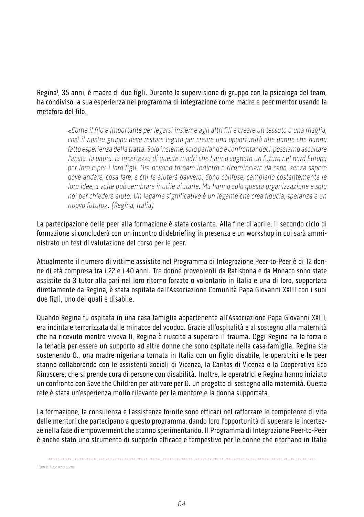Regina<sup>1</sup>, 35 anni, è madre di due figli. Durante la supervisione di gruppo con la psicologa del team, ha condiviso la sua esperienza nel programma di integrazione come madre e peer mentor usando la metafora del filo.

> «Come il filo è importante per legarsi insieme agli altri fili e creare un tessuto o una maglia, così il nostro gruppo deve restare legato per creare una opportunità alle donne che hanno fatto esperienza della tratta. Solo insieme, solo parlando e confrontandoci, possiamo ascoltare l'ansia, la paura, la incertezza di queste madri che hanno sognato un futuro nel nord Europa per loro e per i loro figli. Ora devono tornare indietro e ricominciare da capo, senza sapere dove andare, cosa fare, e chi le aiuterà davvero. Sono confuse, cambiano costantemente le loro idee, a volte può sembrare inutile aiutarle. Ma hanno solo questa organizzazione e solo noi per chiedere aiuto. Un legame significativo è un legame che crea fiducia, speranza e un nuovo futuro». (Regina, Italia)

La partecipazione delle peer alla formazione è stata costante. Alla fine di aprile, il secondo ciclo di formazione si concluderà con un incontro di debriefing in presenza e un workshop in cui sarà amministrato un test di valutazione del corso per le peer.

Attualmente il numero di vittime assistite nel Programma di Integrazione Peer-to-Peer è di 12 donne di età compresa tra i 22 e i 40 anni. Tre donne provenienti da Ratisbona e da Monaco sono state assistite da 3 tutor alla pari nel loro ritorno forzato o volontario in Italia e una di loro, supportata direttamente da Regina, è stata ospitata dall'Associazione Comunità Papa Giovanni XXIII con i suoi due figli, uno dei quali è disabile.

Quando Regina fu ospitata in una casa-famiglia appartenente all'Associazione Papa Giovanni XXIII, era incinta e terrorizzata dalle minacce del voodoo. Grazie all'ospitalità e al sostegno alla maternità che ha ricevuto mentre viveva lì, Regina è riuscita a superare il trauma. Oggi Regina ha la forza e la tenacia per essere un supporto ad altre donne che sono ospitate nella casa-famiglia. Regina sta sostenendo O., una madre nigeriana tornata in Italia con un figlio disabile, le operatrici e le peer stanno collaborando con le assistenti sociali di Vicenza, la Caritas di Vicenza e la Cooperativa Eco Rinascere, che si prende cura di persone con disabilità. Inoltre, le operatrici e Regina hanno iniziato un confronto con Save the Children per attivare per O. un progetto di sostegno alla maternità. Questa rete è stata un'esperienza molto rilevante per la mentore e la donna supportata.

La formazione, la consulenza e l'assistenza fornite sono efficaci nel rafforzare le competenze di vita delle mentori che partecipano a questo programma, dando loro l'opportunità di superare le incertezze nella fase di empowerment che stanno sperimentando. Il Programma di Integrazione Peer-to-Peer è anche stato uno strumento di supporto efficace e tempestivo per le donne che ritornano in Italia

1 Non è il suo vero nome